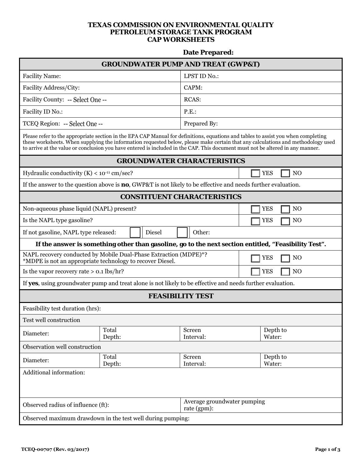## **TEXAS COMMISSION ON ENVIRONMENTAL QUALITY PETROLEUM STORAGE TANK PROGRAM CAP WORKSHEETS**

## **Date Prepared:**

| <b>GROUNDWATER PUMP AND TREAT (GWP&amp;T)</b>                                                                                                                                                                                                                                                                                                                                                           |                                                                                                                               |                                            |                              |  |  |  |
|---------------------------------------------------------------------------------------------------------------------------------------------------------------------------------------------------------------------------------------------------------------------------------------------------------------------------------------------------------------------------------------------------------|-------------------------------------------------------------------------------------------------------------------------------|--------------------------------------------|------------------------------|--|--|--|
| <b>Facility Name:</b>                                                                                                                                                                                                                                                                                                                                                                                   |                                                                                                                               | LPST ID No.:                               |                              |  |  |  |
| Facility Address/City:                                                                                                                                                                                                                                                                                                                                                                                  |                                                                                                                               | CAPM:                                      |                              |  |  |  |
| Facility County: -- Select One --                                                                                                                                                                                                                                                                                                                                                                       |                                                                                                                               | RCAS:                                      |                              |  |  |  |
| Facility ID No.:                                                                                                                                                                                                                                                                                                                                                                                        |                                                                                                                               | P.E.                                       |                              |  |  |  |
| TCEQ Region: -- Select One --                                                                                                                                                                                                                                                                                                                                                                           |                                                                                                                               | Prepared By:                               |                              |  |  |  |
| Please refer to the appropriate section in the EPA CAP Manual for definitions, equations and tables to assist you when completing<br>these worksheets. When supplying the information requested below, please make certain that any calculations and methodology used<br>to arrive at the value or conclusion you have entered is included in the CAP. This document must not be altered in any manner. |                                                                                                                               |                                            |                              |  |  |  |
| <b>GROUNDWATER CHARACTERISTICS</b>                                                                                                                                                                                                                                                                                                                                                                      |                                                                                                                               |                                            |                              |  |  |  |
| Hydraulic conductivity $(K) < 10^{-11}$ cm/sec?                                                                                                                                                                                                                                                                                                                                                         |                                                                                                                               |                                            | <b>YES</b><br>N <sub>O</sub> |  |  |  |
| If the answer to the question above is <b>no</b> , GWP&T is not likely to be effective and needs further evaluation.                                                                                                                                                                                                                                                                                    |                                                                                                                               |                                            |                              |  |  |  |
| <b>CONSTITUENT CHARACTERISTICS</b>                                                                                                                                                                                                                                                                                                                                                                      |                                                                                                                               |                                            |                              |  |  |  |
| Non-aqueous phase liquid (NAPL) present?                                                                                                                                                                                                                                                                                                                                                                |                                                                                                                               |                                            | N <sub>O</sub><br><b>YES</b> |  |  |  |
| Is the NAPL type gasoline?                                                                                                                                                                                                                                                                                                                                                                              |                                                                                                                               |                                            | <b>YES</b><br>N <sub>O</sub> |  |  |  |
| If not gasoline, NAPL type released:                                                                                                                                                                                                                                                                                                                                                                    | <b>Diesel</b>                                                                                                                 | Other:                                     |                              |  |  |  |
| If the answer is something other than gasoline, go to the next section entitled, "Feasibility Test".                                                                                                                                                                                                                                                                                                    |                                                                                                                               |                                            |                              |  |  |  |
|                                                                                                                                                                                                                                                                                                                                                                                                         | NAPL recovery conducted by Mobile Dual-Phase Extraction (MDPE)*?<br>*MDPE is not an appropriate technology to recover Diesel. |                                            | <b>YES</b><br>N <sub>O</sub> |  |  |  |
| Is the vapor recovery rate $> 0.1$ lbs/hr?                                                                                                                                                                                                                                                                                                                                                              |                                                                                                                               |                                            | <b>YES</b><br>N <sub>O</sub> |  |  |  |
|                                                                                                                                                                                                                                                                                                                                                                                                         | If yes, using groundwater pump and treat alone is not likely to be effective and needs further evaluation.                    |                                            |                              |  |  |  |
|                                                                                                                                                                                                                                                                                                                                                                                                         |                                                                                                                               | <b>FEASIBILITY TEST</b>                    |                              |  |  |  |
| Feasibility test duration (hrs):                                                                                                                                                                                                                                                                                                                                                                        |                                                                                                                               |                                            |                              |  |  |  |
| Test well construction                                                                                                                                                                                                                                                                                                                                                                                  |                                                                                                                               |                                            |                              |  |  |  |
| Diameter:                                                                                                                                                                                                                                                                                                                                                                                               | Total<br>Depth:                                                                                                               | Screen<br>Interval:                        | Depth to<br>Water:           |  |  |  |
| Observation well construction                                                                                                                                                                                                                                                                                                                                                                           |                                                                                                                               |                                            |                              |  |  |  |
| Diameter:                                                                                                                                                                                                                                                                                                                                                                                               | Total<br>Depth:                                                                                                               | Screen<br>Interval:                        | Depth to<br>Water:           |  |  |  |
| Additional information:                                                                                                                                                                                                                                                                                                                                                                                 |                                                                                                                               |                                            |                              |  |  |  |
|                                                                                                                                                                                                                                                                                                                                                                                                         |                                                                                                                               |                                            |                              |  |  |  |
| Observed radius of influence (ft):                                                                                                                                                                                                                                                                                                                                                                      |                                                                                                                               | Average groundwater pumping<br>rate (gpm): |                              |  |  |  |
| Observed maximum drawdown in the test well during pumping:                                                                                                                                                                                                                                                                                                                                              |                                                                                                                               |                                            |                              |  |  |  |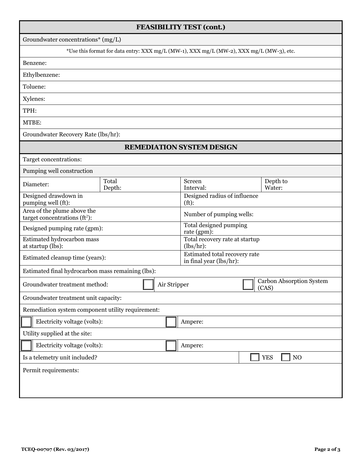| <b>FEASIBILITY TEST (cont.)</b>                                 |                 |                                             |                                                                                          |                                   |                        |  |
|-----------------------------------------------------------------|-----------------|---------------------------------------------|------------------------------------------------------------------------------------------|-----------------------------------|------------------------|--|
| Groundwater concentrations* (mg/L)                              |                 |                                             |                                                                                          |                                   |                        |  |
|                                                                 |                 |                                             | *Use this format for data entry: XXX mg/L (MW-1), XXX mg/L (MW-2), XXX mg/L (MW-3), etc. |                                   |                        |  |
| Benzene:                                                        |                 |                                             |                                                                                          |                                   |                        |  |
| Ethylbenzene:                                                   |                 |                                             |                                                                                          |                                   |                        |  |
| Toluene:                                                        |                 |                                             |                                                                                          |                                   |                        |  |
| Xylenes:                                                        |                 |                                             |                                                                                          |                                   |                        |  |
| TPH:                                                            |                 |                                             |                                                                                          |                                   |                        |  |
| MTBE:                                                           |                 |                                             |                                                                                          |                                   |                        |  |
| Groundwater Recovery Rate (lbs/hr):                             |                 |                                             |                                                                                          |                                   |                        |  |
|                                                                 |                 |                                             | <b>REMEDIATION SYSTEM DESIGN</b>                                                         |                                   |                        |  |
| Target concentrations:                                          |                 |                                             |                                                                                          |                                   |                        |  |
| Pumping well construction                                       |                 |                                             |                                                                                          |                                   |                        |  |
| Diameter:                                                       | Total<br>Depth: |                                             | Screen<br>Interval:                                                                      |                                   | Depth to<br>Water:     |  |
| Designed drawdown in<br>pumping well (ft):                      |                 | Designed radius of influence<br>$(ft)$ :    |                                                                                          |                                   |                        |  |
| Area of the plume above the<br>target concentrations ( $ft2$ ): |                 | Number of pumping wells:                    |                                                                                          |                                   |                        |  |
| Designed pumping rate (gpm):                                    |                 | Total designed pumping<br>rate (gpm):       |                                                                                          |                                   |                        |  |
| Estimated hydrocarbon mass<br>at startup (lbs):                 |                 | Total recovery rate at startup<br>(lbs/hr): |                                                                                          |                                   |                        |  |
| Estimated cleanup time (years):                                 |                 |                                             | Estimated total recovery rate<br>in final year (lbs/hr):                                 |                                   |                        |  |
| Estimated final hydrocarbon mass remaining (lbs):               |                 |                                             |                                                                                          |                                   |                        |  |
| Air Stripper<br>Groundwater treatment method:                   |                 |                                             |                                                                                          | Carbon Absorption System<br>(CAS) |                        |  |
| Groundwater treatment unit capacity:                            |                 |                                             |                                                                                          |                                   |                        |  |
| Remediation system component utility requirement:               |                 |                                             |                                                                                          |                                   |                        |  |
| Electricity voltage (volts):                                    |                 |                                             | Ampere:                                                                                  |                                   |                        |  |
| Utility supplied at the site:                                   |                 |                                             |                                                                                          |                                   |                        |  |
| Electricity voltage (volts):                                    |                 |                                             | Ampere:                                                                                  |                                   |                        |  |
| Is a telemetry unit included?                                   |                 |                                             |                                                                                          |                                   | <b>YES</b><br>$\rm NO$ |  |
| Permit requirements:                                            |                 |                                             |                                                                                          |                                   |                        |  |
|                                                                 |                 |                                             |                                                                                          |                                   |                        |  |
|                                                                 |                 |                                             |                                                                                          |                                   |                        |  |